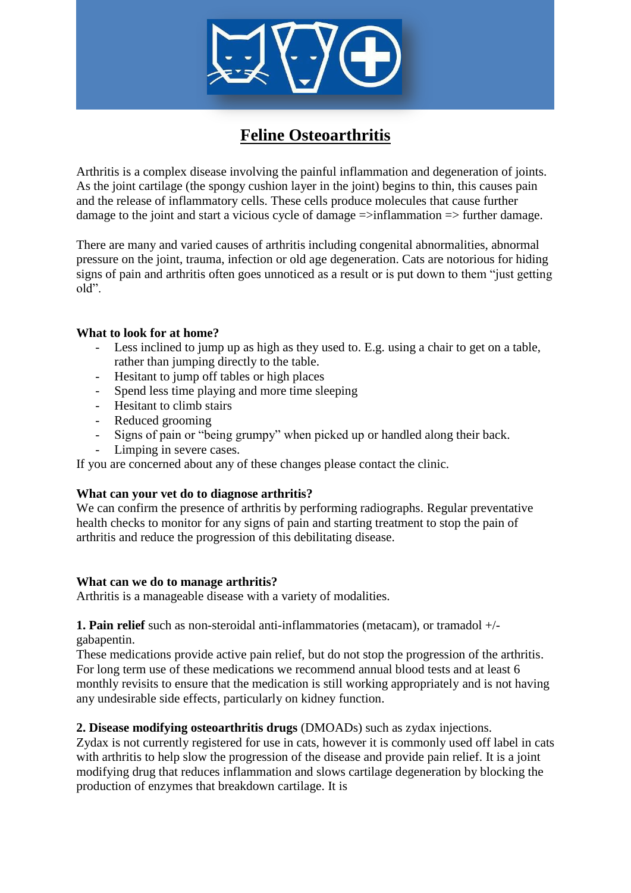

# **Feline Osteoarthritis**

Arthritis is a complex disease involving the painful inflammation and degeneration of joints. As the joint cartilage (the spongy cushion layer in the joint) begins to thin, this causes pain and the release of inflammatory cells. These cells produce molecules that cause further damage to the joint and start a vicious cycle of damage  $\Rightarrow$ inflammation  $\Rightarrow$  further damage.

There are many and varied causes of arthritis including congenital abnormalities, abnormal pressure on the joint, trauma, infection or old age degeneration. Cats are notorious for hiding signs of pain and arthritis often goes unnoticed as a result or is put down to them "just getting old".

## **What to look for at home?**

- Less inclined to jump up as high as they used to. E.g. using a chair to get on a table, rather than jumping directly to the table.
- Hesitant to jump off tables or high places
- Spend less time playing and more time sleeping<br>- Hesitant to climb stairs
- Hesitant to climb stairs
- Reduced grooming
- Signs of pain or "being grumpy" when picked up or handled along their back.
- Limping in severe cases.

If you are concerned about any of these changes please contact the clinic.

#### **What can your vet do to diagnose arthritis?**

We can confirm the presence of arthritis by performing radiographs. Regular preventative health checks to monitor for any signs of pain and starting treatment to stop the pain of arthritis and reduce the progression of this debilitating disease.

#### **What can we do to manage arthritis?**

Arthritis is a manageable disease with a variety of modalities.

**1. Pain relief** such as non-steroidal anti-inflammatories (metacam), or tramadol +/ gabapentin.

These medications provide active pain relief, but do not stop the progression of the arthritis. For long term use of these medications we recommend annual blood tests and at least 6 monthly revisits to ensure that the medication is still working appropriately and is not having any undesirable side effects, particularly on kidney function.

## **2. Disease modifying osteoarthritis drugs** (DMOADs) such as zydax injections.

Zydax is not currently registered for use in cats, however it is commonly used off label in cats with arthritis to help slow the progression of the disease and provide pain relief. It is a joint modifying drug that reduces inflammation and slows cartilage degeneration by blocking the production of enzymes that breakdown cartilage. It is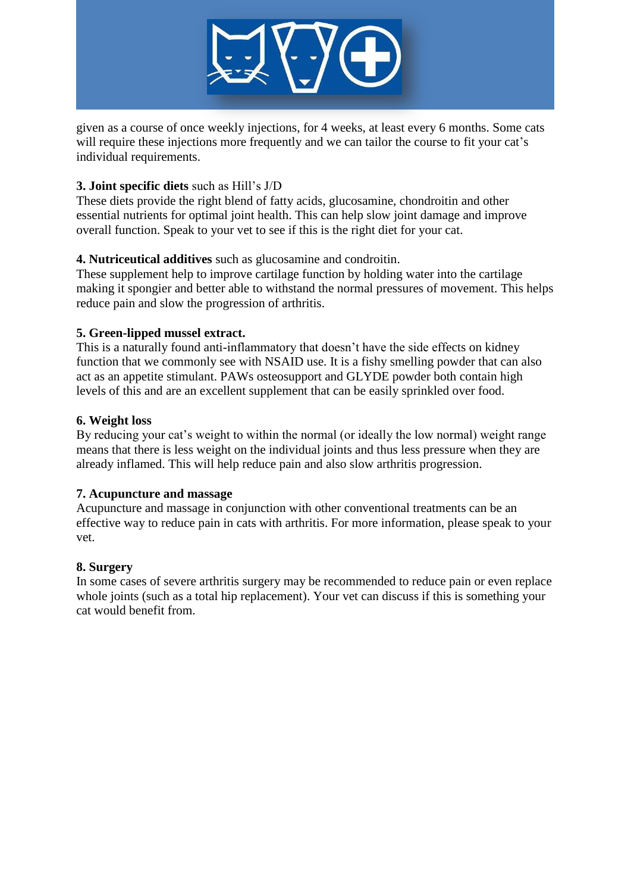

given as a course of once weekly injections, for 4 weeks, at least every 6 months. Some cats will require these injections more frequently and we can tailor the course to fit your cat's individual requirements.

# **3. Joint specific diets** such as Hill's J/D

These diets provide the right blend of fatty acids, glucosamine, chondroitin and other essential nutrients for optimal joint health. This can help slow joint damage and improve overall function. Speak to your vet to see if this is the right diet for your cat.

# **4. Nutriceutical additives** such as glucosamine and condroitin.

These supplement help to improve cartilage function by holding water into the cartilage making it spongier and better able to withstand the normal pressures of movement. This helps reduce pain and slow the progression of arthritis.

# **5. Green-lipped mussel extract.**

This is a naturally found anti-inflammatory that doesn't have the side effects on kidney function that we commonly see with NSAID use. It is a fishy smelling powder that can also act as an appetite stimulant. PAWs osteosupport and GLYDE powder both contain high levels of this and are an excellent supplement that can be easily sprinkled over food.

## **6. Weight loss**

By reducing your cat's weight to within the normal (or ideally the low normal) weight range means that there is less weight on the individual joints and thus less pressure when they are already inflamed. This will help reduce pain and also slow arthritis progression.

## **7. Acupuncture and massage**

Acupuncture and massage in conjunction with other conventional treatments can be an effective way to reduce pain in cats with arthritis. For more information, please speak to your vet.

## **8. Surgery**

In some cases of severe arthritis surgery may be recommended to reduce pain or even replace whole joints (such as a total hip replacement). Your vet can discuss if this is something your cat would benefit from.